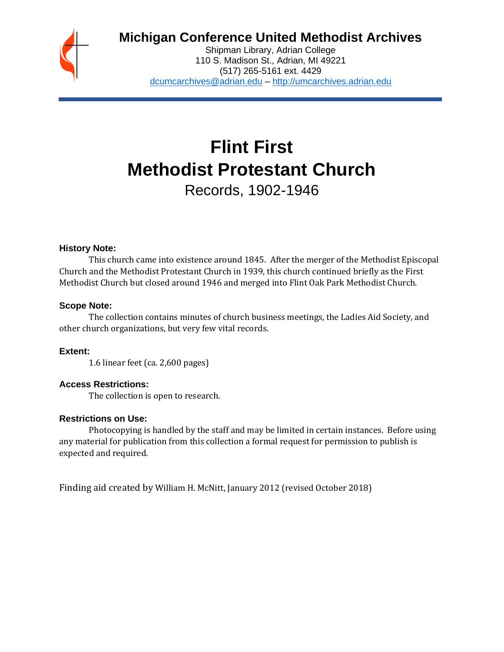

# **Michigan Conference United Methodist Archives**

Shipman Library, Adrian College 110 S. Madison St., Adrian, MI 49221 (517) 265-5161 ext. 4429 [dcumcarchives@adrian.edu](mailto:dcumcarchives@adrian.edu) – [http://umcarchives.adrian.edu](http://umcarchives.adrian.edu/)

# **Flint First Methodist Protestant Church**

Records, 1902-1946

## **History Note:**

This church came into existence around 1845. After the merger of the Methodist Episcopal Church and the Methodist Protestant Church in 1939, this church continued briefly as the First Methodist Church but closed around 1946 and merged into Flint Oak Park Methodist Church.

## **Scope Note:**

The collection contains minutes of church business meetings, the Ladies Aid Society, and other church organizations, but very few vital records.

## **Extent:**

1.6 linear feet (ca. 2,600 pages)

## **Access Restrictions:**

The collection is open to research.

## **Restrictions on Use:**

Photocopying is handled by the staff and may be limited in certain instances. Before using any material for publication from this collection a formal request for permission to publish is expected and required.

Finding aid created by William H. McNitt, January 2012 (revised October 2018)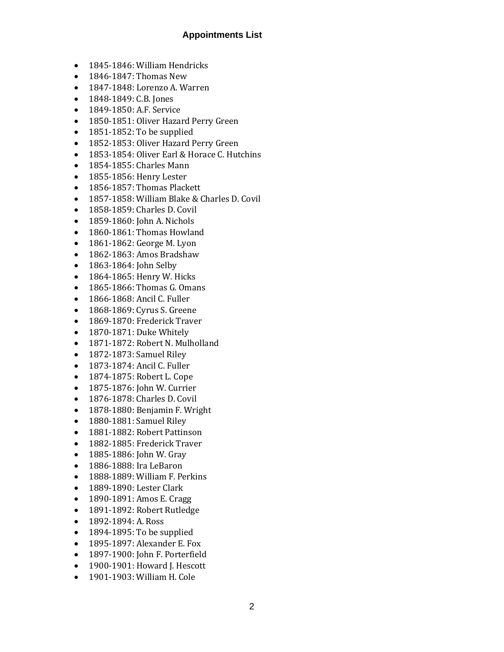# **Appointments List**

- 1845-1846: William Hendricks
- 1846-1847: Thomas New
- 1847-1848: Lorenzo A. Warren
- 1848-1849: C.B. Jones
- 1849-1850: A.F. Service
- 1850-1851: Oliver Hazard Perry Green
- 1851-1852: To be supplied
- 1852-1853: Oliver Hazard Perry Green
- 1853-1854: Oliver Earl & Horace C. Hutchins
- 1854-1855: Charles Mann
- 1855-1856: Henry Lester
- 1856-1857: Thomas Plackett
- 1857-1858: William Blake & Charles D. Covil
- 1858-1859: Charles D. Covil
- 1859-1860: John A. Nichols
- 1860-1861: Thomas Howland
- 1861-1862: George M. Lyon
- 1862-1863: Amos Bradshaw
- 1863-1864: John Selby
- 1864-1865: Henry W. Hicks
- 1865-1866: Thomas G. Omans
- 1866-1868: Ancil C. Fuller
- 1868-1869: Cyrus S. Greene
- 1869-1870: Frederick Traver
- 1870-1871: Duke Whitely
- 1871-1872: Robert N. Mulholland
- 1872-1873: Samuel Riley
- 1873-1874: Ancil C. Fuller
- 1874-1875: Robert L. Cope
- 1875-1876: John W. Currier
- 1876-1878: Charles D. Covil
- 1878-1880: Benjamin F. Wright
- 1880-1881: Samuel Riley
- 1881-1882: Robert Pattinson
- 1882-1885: Frederick Traver
- 1885-1886: John W. Gray
- 1886-1888: Ira LeBaron
- 1888-1889: William F. Perkins
- 1889-1890: Lester Clark
- 1890-1891: Amos E. Cragg
- 1891-1892: Robert Rutledge
- 1892-1894: A. Ross
- 1894-1895: To be supplied
- 1895-1897: Alexander E. Fox
- 1897-1900: John F. Porterfield
- 1900-1901: Howard J. Hescott
- 1901-1903: William H. Cole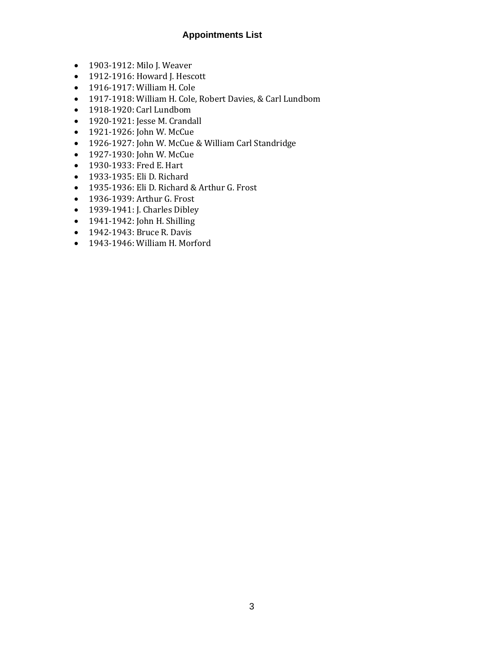# **Appointments List**

- 1903-1912: Milo J. Weaver
- 1912-1916: Howard J. Hescott
- 1916-1917: William H. Cole
- 1917-1918: William H. Cole, Robert Davies, & Carl Lundbom
- 1918-1920: Carl Lundbom
- 1920-1921: Jesse M. Crandall
- 1921-1926: John W. McCue
- 1926-1927: John W. McCue & William Carl Standridge
- 1927-1930: John W. McCue
- 1930-1933: Fred E. Hart
- 1933-1935: Eli D. Richard
- 1935-1936: Eli D. Richard & Arthur G. Frost
- 1936-1939: Arthur G. Frost
- 1939-1941: J. Charles Dibley
- 1941-1942: John H. Shilling
- 1942-1943: Bruce R. Davis
- 1943-1946: William H. Morford